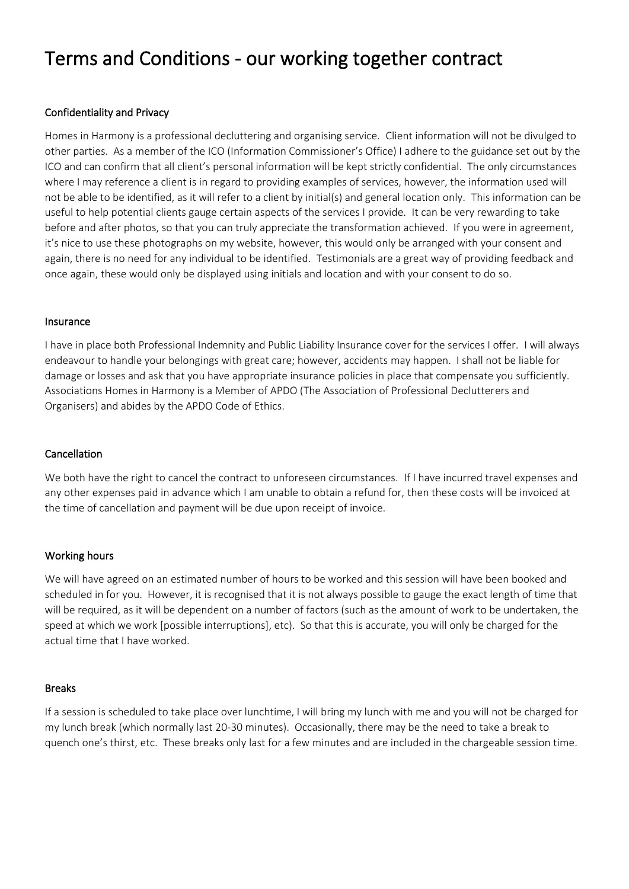# Terms and Conditions - our working together contract

# Confidentiality and Privacy

Homes in Harmony is a professional decluttering and organising service. Client information will not be divulged to other parties. As a member of the ICO (Information Commissioner's Office) I adhere to the guidance set out by the ICO and can confirm that all client's personal information will be kept strictly confidential. The only circumstances where I may reference a client is in regard to providing examples of services, however, the information used will not be able to be identified, as it will refer to a client by initial(s) and general location only. This information can be useful to help potential clients gauge certain aspects of the services I provide. It can be very rewarding to take before and after photos, so that you can truly appreciate the transformation achieved. If you were in agreement, it's nice to use these photographs on my website, however, this would only be arranged with your consent and again, there is no need for any individual to be identified. Testimonials are a great way of providing feedback and once again, these would only be displayed using initials and location and with your consent to do so.

#### Insurance

I have in place both Professional Indemnity and Public Liability Insurance cover for the services I offer. I will always endeavour to handle your belongings with great care; however, accidents may happen. I shall not be liable for damage or losses and ask that you have appropriate insurance policies in place that compensate you sufficiently. Associations Homes in Harmony is a Member of APDO (The Association of Professional Declutterers and Organisers) and abides by the APDO Code of Ethics.

## Cancellation

We both have the right to cancel the contract to unforeseen circumstances. If I have incurred travel expenses and any other expenses paid in advance which I am unable to obtain a refund for, then these costs will be invoiced at the time of cancellation and payment will be due upon receipt of invoice.

## Working hours

We will have agreed on an estimated number of hours to be worked and this session will have been booked and scheduled in for you. However, it is recognised that it is not always possible to gauge the exact length of time that will be required, as it will be dependent on a number of factors (such as the amount of work to be undertaken, the speed at which we work [possible interruptions], etc). So that this is accurate, you will only be charged for the actual time that I have worked.

#### Breaks

If a session is scheduled to take place over lunchtime, I will bring my lunch with me and you will not be charged for my lunch break (which normally last 20-30 minutes). Occasionally, there may be the need to take a break to quench one's thirst, etc. These breaks only last for a few minutes and are included in the chargeable session time.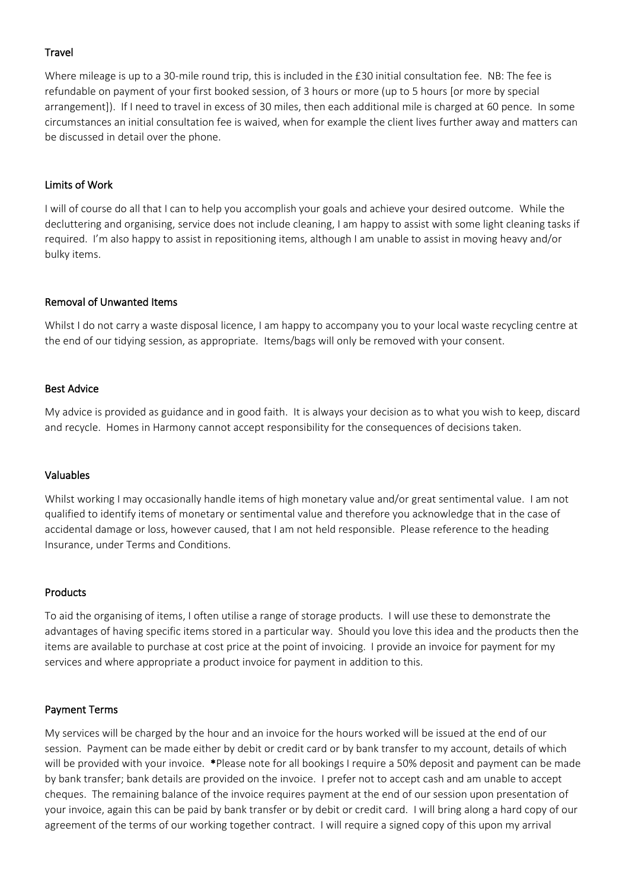# **Travel**

Where mileage is up to a 30-mile round trip, this is included in the £30 initial consultation fee. NB: The fee is refundable on payment of your first booked session, of 3 hours or more (up to 5 hours [or more by special arrangement]). If I need to travel in excess of 30 miles, then each additional mile is charged at 60 pence. In some circumstances an initial consultation fee is waived, when for example the client lives further away and matters can be discussed in detail over the phone.

## Limits of Work

I will of course do all that I can to help you accomplish your goals and achieve your desired outcome. While the decluttering and organising, service does not include cleaning, I am happy to assist with some light cleaning tasks if required. I'm also happy to assist in repositioning items, although I am unable to assist in moving heavy and/or bulky items.

## Removal of Unwanted Items

Whilst I do not carry a waste disposal licence, I am happy to accompany you to your local waste recycling centre at the end of our tidying session, as appropriate. Items/bags will only be removed with your consent.

## Best Advice

My advice is provided as guidance and in good faith. It is always your decision as to what you wish to keep, discard and recycle. Homes in Harmony cannot accept responsibility for the consequences of decisions taken.

## Valuables

Whilst working I may occasionally handle items of high monetary value and/or great sentimental value. I am not qualified to identify items of monetary or sentimental value and therefore you acknowledge that in the case of accidental damage or loss, however caused, that I am not held responsible. Please reference to the heading Insurance, under Terms and Conditions.

## Products

To aid the organising of items, I often utilise a range of storage products. I will use these to demonstrate the advantages of having specific items stored in a particular way. Should you love this idea and the products then the items are available to purchase at cost price at the point of invoicing. I provide an invoice for payment for my services and where appropriate a product invoice for payment in addition to this.

## Payment Terms

My services will be charged by the hour and an invoice for the hours worked will be issued at the end of our session. Payment can be made either by debit or credit card or by bank transfer to my account, details of which will be provided with your invoice. \*Please note for all bookings I require a 50% deposit and payment can be made by bank transfer; bank details are provided on the invoice. I prefer not to accept cash and am unable to accept cheques. The remaining balance of the invoice requires payment at the end of our session upon presentation of your invoice, again this can be paid by bank transfer or by debit or credit card. I will bring along a hard copy of our agreement of the terms of our working together contract. I will require a signed copy of this upon my arrival